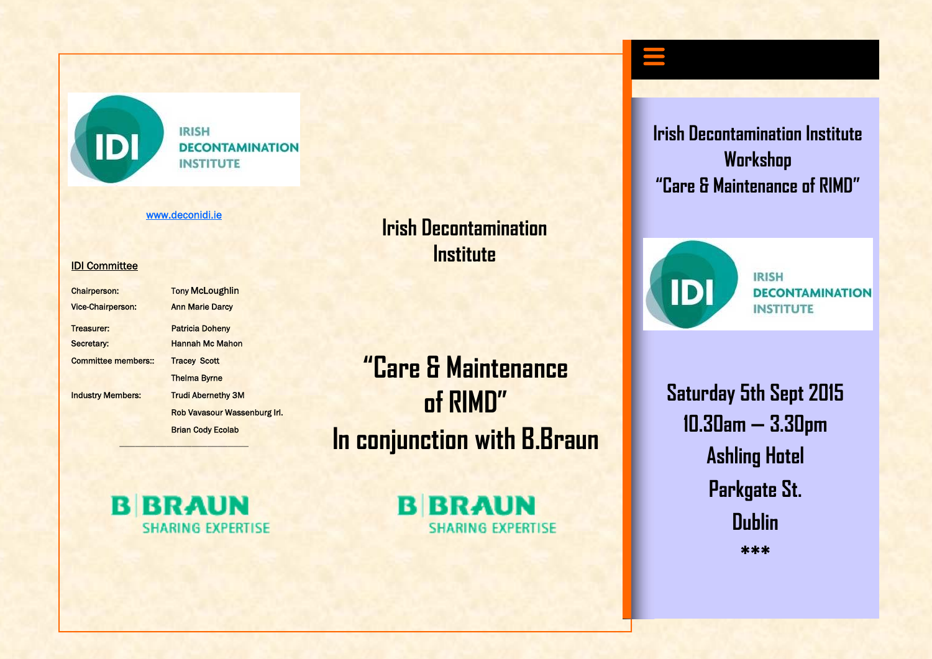

**IRISH DECONTAMINATION INSTITUTE** 

#### www.deconidi.ie

#### IDI Committee

| <b>Chairperson:</b>      | <b>Tony McLoughlin</b>       |
|--------------------------|------------------------------|
| <b>Vice-Chairperson:</b> | <b>Ann Marie Darcy</b>       |
| Treasurer:               | <b>Patricia Doheny</b>       |
| Secretary:               | <b>Hannah Mc Mahon</b>       |
| Committee members::      | <b>Tracey Scott</b>          |
|                          | <b>Thelma Byrne</b>          |
| <b>Industry Members:</b> | <b>Trudi Abernethy 3M</b>    |
|                          | Rob Vavasour Wassenburg Irl. |
|                          | <b>Brian Cody Ecolab</b>     |
|                          |                              |

**"Care & Maintenance of RIMD" In conjunction with B.Braun** 

**Irish Decontamination** 

**Institute** 

**B BRAUN SHARING EXPERTISE** 

—————————————————————————

**B BRAUN SHARING EXPERTISE** 

**Irish Decontamination Institute Workshop "Care & Maintenance of RIMD"** 



**IRISH DECONTAMINATION INSTITUTE** 

**Saturday 5th Sept 2015 10.30am — 3.30pm Ashling Hotel Parkgate St. Dublin \*\*\***